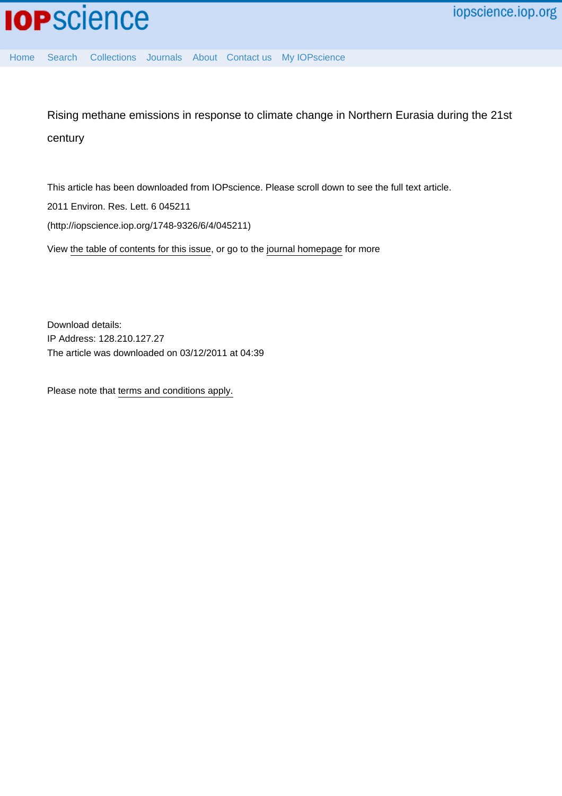

[Home](http://iopscience.iop.org/) [Search](http://iopscience.iop.org/search) [Collections](http://iopscience.iop.org/collections) [Journals](http://iopscience.iop.org/journals) [About](http://iopscience.iop.org/page/aboutioppublishing) [Contact us](http://iopscience.iop.org/contact) [My IOPscience](http://iopscience.iop.org/myiopscience)

Rising methane emissions in response to climate change in Northern Eurasia during the 21st century

This article has been downloaded from IOPscience. Please scroll down to see the full text article.

2011 Environ. Res. Lett. 6 045211

(http://iopscience.iop.org/1748-9326/6/4/045211)

View [the table of contents for this issue](http://iopscience.iop.org/1748-9326/6/4), or go to the [journal homepage](http://iopscience.iop.org/1748-9326) for more

Download details: IP Address: 128.210.127.27 The article was downloaded on 03/12/2011 at 04:39

Please note that [terms and conditions apply.](http://iopscience.iop.org/page/terms)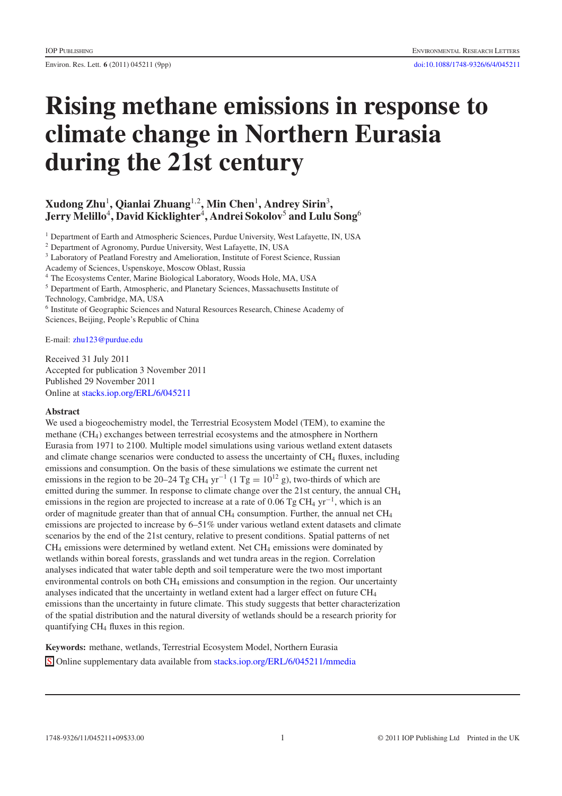Environ. Res. Lett. **6** (2011) 045211 (9pp) [doi:10.1088/1748-9326/6/4/045211](http://dx.doi.org/10.1088/1748-9326/6/4/045211)

# **Rising methane emissions in response to climate change in Northern Eurasia during the 21st century**

# **Xudong Zhu**<sup>1</sup> **, Qianlai Zhuang**<sup>1</sup>*,*<sup>2</sup> **, Min Chen**<sup>1</sup> **, Andrey Sirin**<sup>3</sup> **, Jerry Melillo**<sup>4</sup> **, David Kicklighter**<sup>4</sup> **, Andrei Sokolov**<sup>5</sup> **and Lulu Song**<sup>6</sup>

<sup>1</sup> Department of Earth and Atmospheric Sciences, Purdue University, West Lafayette, IN, USA

<sup>2</sup> Department of Agronomy, Purdue University, West Lafayette, IN, USA

<sup>3</sup> Laboratory of Peatland Forestry and Amelioration, Institute of Forest Science, Russian

Academy of Sciences, Uspenskoye, Moscow Oblast, Russia

<sup>4</sup> The Ecosystems Center, Marine Biological Laboratory, Woods Hole, MA, USA

<sup>5</sup> Department of Earth, Atmospheric, and Planetary Sciences, Massachusetts Institute of

Technology, Cambridge, MA, USA

<sup>6</sup> Institute of Geographic Sciences and Natural Resources Research, Chinese Academy of Sciences, Beijing, People's Republic of China

E-mail: [zhu123@purdue.edu](mailto:zhu123@purdue.edu)

Received 31 July 2011 Accepted for publication 3 November 2011 Published 29 November 2011 Online at <stacks.iop.org/ERL/6/045211>

# **Abstract**

We used a biogeochemistry model, the Terrestrial Ecosystem Model (TEM), to examine the methane (CH4) exchanges between terrestrial ecosystems and the atmosphere in Northern Eurasia from 1971 to 2100. Multiple model simulations using various wetland extent datasets and climate change scenarios were conducted to assess the uncertainty of CH<sub>4</sub> fluxes, including emissions and consumption. On the basis of these simulations we estimate the current net emissions in the region to be 20–24 Tg CH<sub>4</sub> yr<sup>-1</sup> (1 Tg =  $10^{12}$  g), two-thirds of which are emitted during the summer. In response to climate change over the 21st century, the annual CH4 emissions in the region are projected to increase at a rate of 0.06 Tg CH<sub>4</sub> yr<sup>-1</sup>, which is an order of magnitude greater than that of annual  $CH_4$  consumption. Further, the annual net  $CH_4$ emissions are projected to increase by 6–51% under various wetland extent datasets and climate scenarios by the end of the 21st century, relative to present conditions. Spatial patterns of net  $CH<sub>4</sub>$  emissions were determined by wetland extent. Net  $CH<sub>4</sub>$  emissions were dominated by wetlands within boreal forests, grasslands and wet tundra areas in the region. Correlation analyses indicated that water table depth and soil temperature were the two most important environmental controls on both CH4 emissions and consumption in the region. Our uncertainty analyses indicated that the uncertainty in wetland extent had a larger effect on future  $CH<sub>4</sub>$ emissions than the uncertainty in future climate. This study suggests that better characterization of the spatial distribution and the natural diversity of wetlands should be a research priority for quantifying CH4 fluxes in this region.

**Keywords:** methane, wetlands, Terrestrial Ecosystem Model, Northern Eurasia S Online supplementary data available from <stacks.iop.org/ERL/6/045211/mmedia>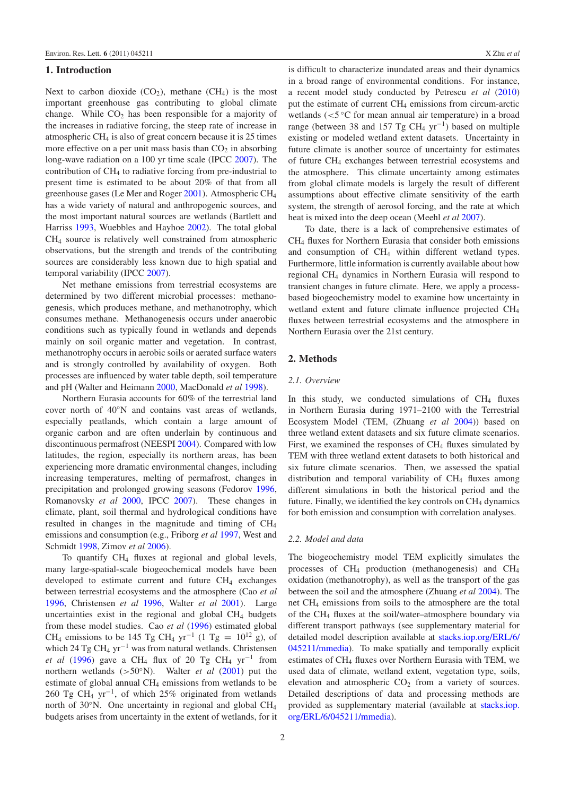# **1. Introduction**

Next to carbon dioxide  $(CO_2)$ , methane  $(CH_4)$  is the most important greenhouse gas contributing to global climate change. While  $CO<sub>2</sub>$  has been responsible for a majority of the increases in radiative forcing, the steep rate of increase in atmospheric CH4 is also of great concern because it is 25 times more effective on a per unit mass basis than  $CO<sub>2</sub>$  in absorbing long-wave radiation on a 100 yr time scale (IPCC [2007\)](#page-9-0). The contribution of CH4 to radiative forcing from pre-industrial to present time is estimated to be about 20% of that from all greenhouse gases (Le Mer and Roger [2001\)](#page-9-1). Atmospheric CH4 has a wide variety of natural and anthropogenic sources, and the most important natural sources are wetlands (Bartlett and Harriss [1993,](#page-8-0) Wuebbles and Hayhoe [2002\)](#page-9-2). The total global CH4 source is relatively well constrained from atmospheric observations, but the strength and trends of the contributing sources are considerably less known due to high spatial and temporal variability (IPCC [2007\)](#page-9-0).

Net methane emissions from terrestrial ecosystems are determined by two different microbial processes: methanogenesis, which produces methane, and methanotrophy, which consumes methane. Methanogenesis occurs under anaerobic conditions such as typically found in wetlands and depends mainly on soil organic matter and vegetation. In contrast, methanotrophy occurs in aerobic soils or aerated surface waters and is strongly controlled by availability of oxygen. Both processes are influenced by water table depth, soil temperature and pH (Walter and Heimann [2000,](#page-9-3) MacDonald *et al* [1998\)](#page-9-4).

Northern Eurasia accounts for 60% of the terrestrial land cover north of 40◦N and contains vast areas of wetlands, especially peatlands, which contain a large amount of organic carbon and are often underlain by continuous and discontinuous permafrost (NEESPI [2004\)](#page-9-5). Compared with low latitudes, the region, especially its northern areas, has been experiencing more dramatic environmental changes, including increasing temperatures, melting of permafrost, changes in precipitation and prolonged growing seasons (Fedorov [1996,](#page-8-1) Romanovsky *et al* [2000,](#page-9-6) IPCC [2007\)](#page-9-0). These changes in climate, plant, soil thermal and hydrological conditions have resulted in changes in the magnitude and timing of CH4 emissions and consumption (e.g., Friborg *et al* [1997,](#page-8-2) West and Schmidt [1998,](#page-9-7) Zimov *et al* [2006\)](#page-9-8).

To quantify CH4 fluxes at regional and global levels, many large-spatial-scale biogeochemical models have been developed to estimate current and future  $CH<sub>4</sub>$  exchanges between terrestrial ecosystems and the atmosphere (Cao *et al* [1996,](#page-8-3) Christensen *et al* [1996,](#page-8-4) Walter *et al* [2001\)](#page-9-9). Large uncertainties exist in the regional and global CH<sub>4</sub> budgets from these model studies. Cao *et al* [\(1996\)](#page-8-3) estimated global CH<sub>4</sub> emissions to be 145 Tg CH<sub>4</sub> yr<sup>-1</sup> (1 Tg =  $10^{12}$  g), of which 24 Tg CH<sub>4</sub> yr<sup>-1</sup> was from natural wetlands. Christensen *et al* [\(1996\)](#page-8-4) gave a CH<sub>4</sub> flux of 20 Tg CH<sub>4</sub> yr<sup>-1</sup> from northern wetlands (*>*50◦N). Walter *et al* [\(2001\)](#page-9-9) put the estimate of global annual CH4 emissions from wetlands to be 260 Tg CH<sub>4</sub> yr<sup>-1</sup>, of which 25% originated from wetlands north of 30<sup>°</sup>N. One uncertainty in regional and global CH<sub>4</sub> budgets arises from uncertainty in the extent of wetlands, for it

is difficult to characterize inundated areas and their dynamics in a broad range of environmental conditions. For instance, a recent model study conducted by Petrescu *et al* [\(2010\)](#page-9-10) put the estimate of current CH4 emissions from circum-arctic wetlands (*<*5 ◦C for mean annual air temperature) in a broad range (between 38 and 157 Tg CH<sub>4</sub> yr<sup>-1</sup>) based on multiple existing or modeled wetland extent datasets. Uncertainty in future climate is another source of uncertainty for estimates of future CH4 exchanges between terrestrial ecosystems and the atmosphere. This climate uncertainty among estimates from global climate models is largely the result of different assumptions about effective climate sensitivity of the earth system, the strength of aerosol forcing, and the rate at which heat is mixed into the deep ocean (Meehl *et al* [2007\)](#page-9-11).

To date, there is a lack of comprehensive estimates of CH4 fluxes for Northern Eurasia that consider both emissions and consumption of CH<sub>4</sub> within different wetland types. Furthermore, little information is currently available about how regional CH4 dynamics in Northern Eurasia will respond to transient changes in future climate. Here, we apply a processbased biogeochemistry model to examine how uncertainty in wetland extent and future climate influence projected CH4 fluxes between terrestrial ecosystems and the atmosphere in Northern Eurasia over the 21st century.

#### **2. Methods**

# *2.1. Overview*

In this study, we conducted simulations of  $CH<sub>4</sub>$  fluxes in Northern Eurasia during 1971–2100 with the Terrestrial Ecosystem Model (TEM, (Zhuang *et al* [2004\)](#page-9-12)) based on three wetland extent datasets and six future climate scenarios. First, we examined the responses of  $CH<sub>4</sub>$  fluxes simulated by TEM with three wetland extent datasets to both historical and six future climate scenarios. Then, we assessed the spatial distribution and temporal variability of  $CH<sub>4</sub>$  fluxes among different simulations in both the historical period and the future. Finally, we identified the key controls on  $CH<sub>4</sub>$  dynamics for both emission and consumption with correlation analyses.

#### *2.2. Model and data*

The biogeochemistry model TEM explicitly simulates the processes of CH4 production (methanogenesis) and CH4 oxidation (methanotrophy), as well as the transport of the gas between the soil and the atmosphere (Zhuang *et al* [2004\)](#page-9-12). The net CH4 emissions from soils to the atmosphere are the total of the CH4 fluxes at the soil/water–atmosphere boundary via different transport pathways (see supplementary material for detailed model description available at [stacks.iop.org/ERL/6/](stacks.iop.org/ERL/6/045211/mmedia) [045211/mmedia\)](stacks.iop.org/ERL/6/045211/mmedia). To make spatially and temporally explicit estimates of CH<sub>4</sub> fluxes over Northern Eurasia with TEM, we used data of climate, wetland extent, vegetation type, soils, elevation and atmospheric  $CO<sub>2</sub>$  from a variety of sources. Detailed descriptions of data and processing methods are provided as supplementary material (available at [stacks.iop.](stacks.iop.org/ERL/6/045211/mmedia) [org/ERL/6/045211/mmedia\)](stacks.iop.org/ERL/6/045211/mmedia).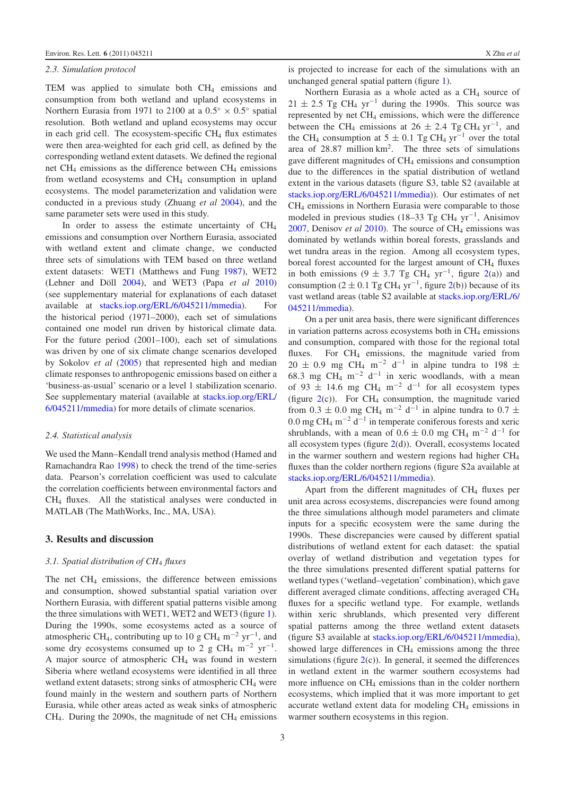# *2.3. Simulation protocol*

TEM was applied to simulate both CH<sub>4</sub> emissions and consumption from both wetland and upland ecosystems in Northern Eurasia from 1971 to 2100 at a  $0.5° \times 0.5°$  spatial resolution. Both wetland and upland ecosystems may occur in each grid cell. The ecosystem-specific  $CH<sub>4</sub>$  flux estimates were then area-weighted for each grid cell, as defined by the corresponding wetland extent datasets. We defined the regional net CH4 emissions as the difference between CH4 emissions from wetland ecosystems and CH4 consumption in upland ecosystems. The model parameterization and validation were conducted in a previous study (Zhuang *et al* [2004\)](#page-9-12), and the same parameter sets were used in this study.

In order to assess the estimate uncertainty of CH<sub>4</sub> emissions and consumption over Northern Eurasia, associated with wetland extent and climate change, we conducted three sets of simulations with TEM based on three wetland extent datasets: WET1 (Matthews and Fung [1987\)](#page-9-13), WET2 (Lehner and Döll [2004\)](#page-9-14), and WET3 (Papa *et al* [2010\)](#page-9-15) (see supplementary material for explanations of each dataset available at [stacks.iop.org/ERL/6/045211/mmedia\)](stacks.iop.org/ERL/6/045211/mmedia). For the historical period (1971–2000), each set of simulations contained one model run driven by historical climate data. For the future period (2001–100), each set of simulations was driven by one of six climate change scenarios developed by Sokolov *et al* [\(2005\)](#page-9-16) that represented high and median climate responses to anthropogenic emissions based on either a 'business-as-usual' scenario or a level 1 stabilization scenario. See supplementary material (available at [stacks.iop.org/ERL/](stacks.iop.org/ERL/6/045211/mmedia) [6/045211/mmedia\)](stacks.iop.org/ERL/6/045211/mmedia) for more details of climate scenarios.

#### *2.4. Statistical analysis*

We used the Mann–Kendall trend analysis method (Hamed and Ramachandra Rao [1998\)](#page-8-5) to check the trend of the time-series data. Pearson's correlation coefficient was used to calculate the correlation coefficients between environmental factors and CH4 fluxes. All the statistical analyses were conducted in MATLAB (The MathWorks, Inc., MA, USA).

#### **3. Results and discussion**

#### *3.1. Spatial distribution of CH*<sup>4</sup> *fluxes*

The net  $CH_4$  emissions, the difference between emissions and consumption, showed substantial spatial variation over Northern Eurasia, with different spatial patterns visible among the three simulations with WET1, WET2 and WET3 (figure [1\)](#page-4-0). During the 1990s, some ecosystems acted as a source of atmospheric CH<sub>4</sub>, contributing up to 10 g CH<sub>4</sub> m<sup>-2</sup> yr<sup>-1</sup>, and some dry ecosystems consumed up to 2 g CH<sub>4</sub> m<sup>-2</sup> yr<sup>-1</sup>. A major source of atmospheric CH4 was found in western Siberia where wetland ecosystems were identified in all three wetland extent datasets; strong sinks of atmospheric CH<sub>4</sub> were found mainly in the western and southern parts of Northern Eurasia, while other areas acted as weak sinks of atmospheric  $CH<sub>4</sub>$ . During the 2090s, the magnitude of net  $CH<sub>4</sub>$  emissions is projected to increase for each of the simulations with an unchanged general spatial pattern (figure [1\)](#page-4-0).

Northern Eurasia as a whole acted as a  $CH<sub>4</sub>$  source of  $21 \pm 2.5$  Tg CH<sub>4</sub> yr<sup>-1</sup> during the 1990s. This source was represented by net CH4 emissions, which were the difference between the CH<sub>4</sub> emissions at  $26 \pm 2.4$  Tg CH<sub>4</sub> yr<sup>-1</sup>, and the CH<sub>4</sub> consumption at  $5 \pm 0.1$  Tg CH<sub>4</sub> yr<sup>-1</sup> over the total area of 28*.*87 million km2. The three sets of simulations gave different magnitudes of CH4 emissions and consumption due to the differences in the spatial distribution of wetland extent in the various datasets (figure S3, table S2 (available at [stacks.iop.org/ERL/6/045211/mmedia\)](stacks.iop.org/ERL/6/045211/mmedia)). Our estimates of net CH4 emissions in Northern Eurasia were comparable to those modeled in previous studies (18–33 Tg CH4 yr−1, Anisimov [2007,](#page-8-6) Denisov *et al* [2010\)](#page-8-7). The source of CH4 emissions was dominated by wetlands within boreal forests, grasslands and wet tundra areas in the region. Among all ecosystem types, boreal forest accounted for the largest amount of CH<sub>4</sub> fluxes in both emissions (9  $\pm$  3.7 Tg CH<sub>4</sub> yr<sup>-1</sup>, figure [2\(](#page-5-0)a)) and consumption ( $2 \pm 0.1$  Tg CH<sub>4</sub> yr<sup>-1</sup>, figure [2\(](#page-5-0)b)) because of its vast wetland areas (table S2 available at [stacks.iop.org/ERL/6/](stacks.iop.org/ERL/6/045211/mmedia) [045211/mmedia\)](stacks.iop.org/ERL/6/045211/mmedia).

On a per unit area basis, there were significant differences in variation patterns across ecosystems both in  $CH<sub>4</sub>$  emissions and consumption, compared with those for the regional total fluxes. For  $CH_4$  emissions, the magnitude varied from  $20 \pm 0.9$  mg CH<sub>4</sub> m<sup>-2</sup> d<sup>-1</sup> in alpine tundra to 198 ± 68.3 mg CH<sub>4</sub> m<sup>-2</sup> d<sup>-1</sup> in xeric woodlands, with a mean of 93  $\pm$  14.6 mg CH<sub>4</sub> m<sup>-2</sup> d<sup>-1</sup> for all ecosystem types (figure  $2(c)$  $2(c)$ ). For CH<sub>4</sub> consumption, the magnitude varied from  $0.3 \pm 0.0$  mg CH<sub>4</sub> m<sup>-2</sup> d<sup>-1</sup> in alpine tundra to  $0.7 \pm$ 0.0 mg CH<sub>4</sub> m<sup> $-2$ </sup> d<sup> $-1$ </sup> in temperate coniferous forests and xeric shrublands, with a mean of  $0.6 \pm 0.0$  mg CH<sub>4</sub> m<sup>-2</sup> d<sup>-1</sup> for all ecosystem types (figure  $2(d)$  $2(d)$ ). Overall, ecosystems located in the warmer southern and western regions had higher CH4 fluxes than the colder northern regions (figure S2a available at [stacks.iop.org/ERL/6/045211/mmedia\)](stacks.iop.org/ERL/6/045211/mmedia).

Apart from the different magnitudes of  $CH<sub>4</sub>$  fluxes per unit area across ecosystems, discrepancies were found among the three simulations although model parameters and climate inputs for a specific ecosystem were the same during the 1990s. These discrepancies were caused by different spatial distributions of wetland extent for each dataset: the spatial overlay of wetland distribution and vegetation types for the three simulations presented different spatial patterns for wetland types ('wetland–vegetation' combination), which gave different averaged climate conditions, affecting averaged CH<sub>4</sub> fluxes for a specific wetland type. For example, wetlands within xeric shrublands, which presented very different spatial patterns among the three wetland extent datasets (figure S3 available at [stacks.iop.org/ERL/6/045211/mmedia\)](stacks.iop.org/ERL/6/045211/mmedia), showed large differences in CH<sub>4</sub> emissions among the three simulations (figure  $2(c)$  $2(c)$ ). In general, it seemed the differences in wetland extent in the warmer southern ecosystems had more influence on CH4 emissions than in the colder northern ecosystems, which implied that it was more important to get accurate wetland extent data for modeling CH<sub>4</sub> emissions in warmer southern ecosystems in this region.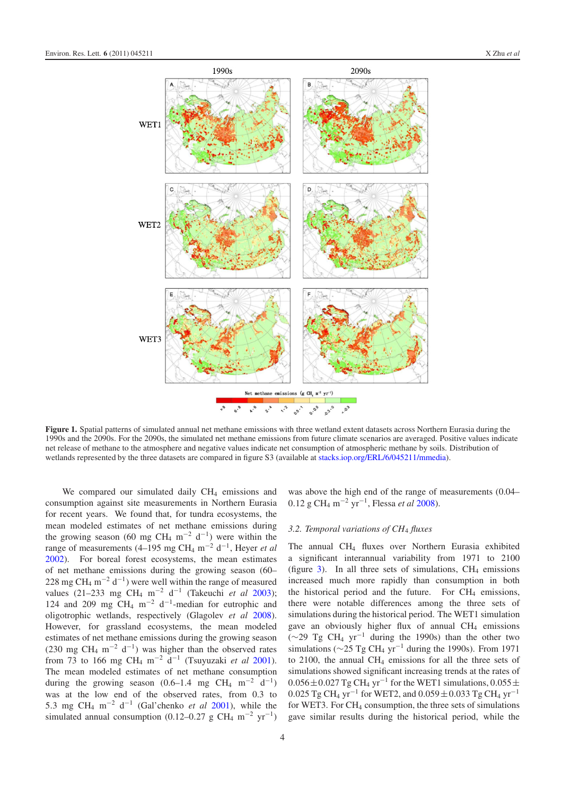<span id="page-4-0"></span>

**Figure 1.** Spatial patterns of simulated annual net methane emissions with three wetland extent datasets across Northern Eurasia during the 1990s and the 2090s. For the 2090s, the simulated net methane emissions from future climate scenarios are averaged. Positive values indicate net release of methane to the atmosphere and negative values indicate net consumption of atmospheric methane by soils. Distribution of wetlands represented by the three datasets are compared in figure S3 (available at [stacks.iop.org/ERL/6/045211/mmedia\)](stacks.iop.org/ERL/6/045211/mmedia).

We compared our simulated daily CH<sub>4</sub> emissions and consumption against site measurements in Northern Eurasia for recent years. We found that, for tundra ecosystems, the mean modeled estimates of net methane emissions during the growing season (60 mg CH<sub>4</sub> m<sup>-2</sup> d<sup>-1</sup>) were within the range of measurements  $(4–195 \text{ mg CH}_4 \text{ m}^{-2} \text{ d}^{-1}$ , Heyer *et al* [2002\)](#page-8-8). For boreal forest ecosystems, the mean estimates of net methane emissions during the growing season (60– 228 mg CH<sub>4</sub> m<sup>-2</sup> d<sup>-1</sup>) were well within the range of measured values (21–233 mg CH4 m−<sup>2</sup> d−<sup>1</sup> (Takeuchi *et al* [2003\)](#page-9-17); 124 and 209 mg CH<sub>4</sub> m<sup>-2</sup> d<sup>-1</sup>-median for eutrophic and oligotrophic wetlands, respectively (Glagolev *et al* [2008\)](#page-8-9). However, for grassland ecosystems, the mean modeled estimates of net methane emissions during the growing season (230 mg CH<sub>4</sub> m<sup>-2</sup> d<sup>-1</sup>) was higher than the observed rates from 73 to 166 mg CH4 m−<sup>2</sup> d−<sup>1</sup> (Tsuyuzaki *et al* [2001\)](#page-9-18). The mean modeled estimates of net methane consumption during the growing season  $(0.6-1.4 \text{ mg } CH_4 \text{ m}^{-2} \text{ d}^{-1})$ was at the low end of the observed rates, from 0.3 to 5*.*3 mg CH4 m−<sup>2</sup> d−<sup>1</sup> (Gal'chenko *et al* [2001\)](#page-8-10), while the simulated annual consumption (0.12–0.27 g CH<sub>4</sub> m<sup>-2</sup> yr<sup>-1</sup>)

was above the high end of the range of measurements (0.04– 0*.*12 g CH4 m−<sup>2</sup> yr−1, Flessa *et al* [2008\)](#page-8-11).

### *3.2. Temporal variations of CH*<sup>4</sup> *fluxes*

The annual CH<sub>4</sub> fluxes over Northern Eurasia exhibited a significant interannual variability from 1971 to 2100 (figure  $3$ ). In all three sets of simulations, CH<sub>4</sub> emissions increased much more rapidly than consumption in both the historical period and the future. For  $CH<sub>4</sub>$  emissions, there were notable differences among the three sets of simulations during the historical period. The WET1 simulation gave an obviously higher flux of annual  $CH<sub>4</sub>$  emissions ( $\sim$ 29 Tg CH<sub>4</sub> yr<sup>-1</sup> during the 1990s) than the other two simulations ( $\sim$ 25 Tg CH<sub>4</sub> yr<sup>-1</sup> during the 1990s). From 1971 to 2100, the annual  $CH_4$  emissions for all the three sets of simulations showed significant increasing trends at the rates of  $0.056 \pm 0.027$  Tg CH<sub>4</sub> yr<sup>-1</sup> for the WET1 simulations,  $0.055 \pm$ 0*.*025 Tg CH4 yr−<sup>1</sup> for WET2, and 0*.*059±0*.*033 Tg CH4 yr−<sup>1</sup> for WET3. For  $CH_4$  consumption, the three sets of simulations gave similar results during the historical period, while the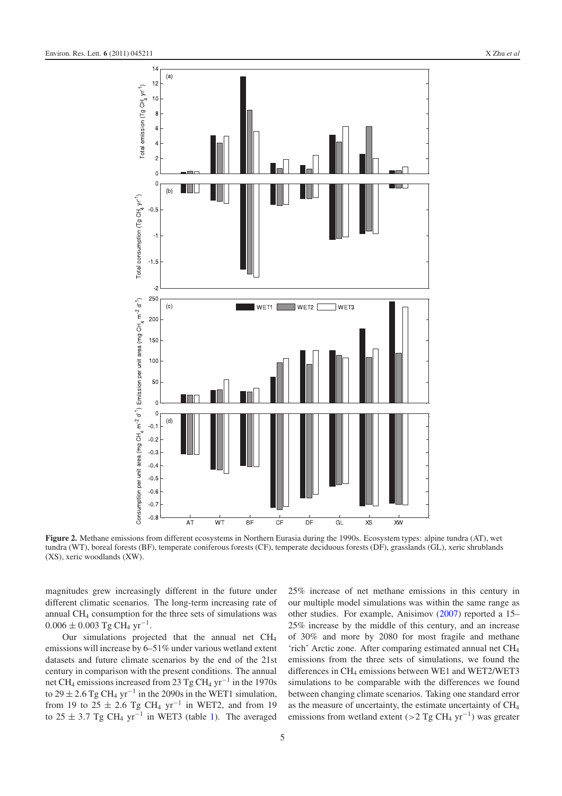<span id="page-5-0"></span>

**Figure 2.** Methane emissions from different ecosystems in Northern Eurasia during the 1990s. Ecosystem types: alpine tundra (AT), wet tundra (WT), boreal forests (BF), temperate coniferous forests (CF), temperate deciduous forests (DF), grasslands (GL), xeric shrublands (XS), xeric woodlands (XW).

magnitudes grew increasingly different in the future under different climatic scenarios. The long-term increasing rate of annual CH4 consumption for the three sets of simulations was  $0.006 \pm 0.003$  Tg CH<sub>4</sub> yr<sup>-1</sup>.

Our simulations projected that the annual net  $CH<sub>4</sub>$ emissions will increase by 6–51% under various wetland extent datasets and future climate scenarios by the end of the 21st century in comparison with the present conditions. The annual net CH4 emissions increased from 23 Tg CH4 yr−<sup>1</sup> in the 1970s to  $29 \pm 2.6$  Tg CH<sub>4</sub> yr<sup>-1</sup> in the 2090s in the WET1 simulation, from 19 to  $25 \pm 2.6$  Tg CH<sub>4</sub> yr<sup>-1</sup> in WET2, and from 19 to  $25 \pm 3.7$  Tg CH<sub>4</sub> yr<sup>-1</sup> in WET3 (table [1\)](#page-6-1). The averaged

25% increase of net methane emissions in this century in our multiple model simulations was within the same range as other studies. For example, Anisimov [\(2007\)](#page-8-6) reported a 15– 25% increase by the middle of this century, and an increase of 30% and more by 2080 for most fragile and methane 'rich' Arctic zone. After comparing estimated annual net CH4 emissions from the three sets of simulations, we found the differences in CH<sub>4</sub> emissions between WE1 and WET2/WET3 simulations to be comparable with the differences we found between changing climate scenarios. Taking one standard error as the measure of uncertainty, the estimate uncertainty of CH4 emissions from wetland extent (*>*2 Tg CH4 yr−1) was greater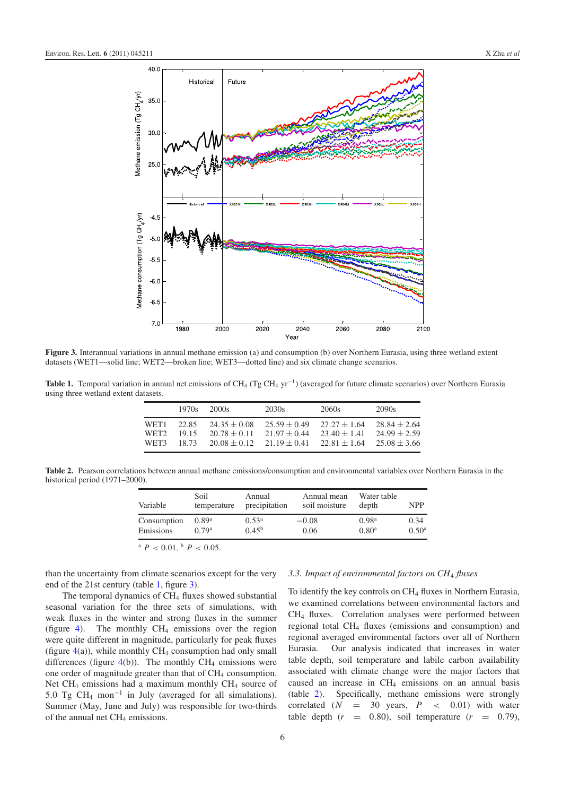<span id="page-6-0"></span>

<span id="page-6-1"></span>**Figure 3.** Interannual variations in annual methane emission (a) and consumption (b) over Northern Eurasia, using three wetland extent datasets (WET1—solid line; WET2—broken line; WET3—dotted line) and six climate change scenarios.

<span id="page-6-2"></span>Table 1. Temporal variation in annual net emissions of CH<sub>4</sub> (Tg CH<sub>4</sub> yr<sup>-1</sup>) (averaged for future climate scenarios) over Northern Eurasia using three wetland extent datasets.

|                  | 1970s | 2000s          | 2030s          | 2060s          | 2090s            |
|------------------|-------|----------------|----------------|----------------|------------------|
| WFT1             | 22.85 | $24.35 + 0.08$ | $25.59 + 0.49$ | $27.27 + 1.64$ | $28.84 \pm 2.64$ |
| WFT <sub>2</sub> | 1915  | $20.78 + 0.11$ | $21.97 + 0.44$ | $23.40 + 1.41$ | $24.99 + 2.59$   |
| WFT3             | 18.73 | $20.08 + 0.12$ | $21.19 + 0.41$ | $22.81 + 1.64$ | $25.08 + 3.66$   |

**Table 2.** Pearson correlations between annual methane emissions/consumption and environmental variables over Northern Eurasia in the historical period (1971–2000).

| Variable    | Soil<br>temperature | Annual<br>precipitation | Annual mean<br>soil moisture | Water table<br>depth | <b>NPP</b>     |
|-------------|---------------------|-------------------------|------------------------------|----------------------|----------------|
| Consumption | $0.89^{\rm a}$      | $0.53^{\rm a}$          | $-0.08$                      | 0.98 <sup>a</sup>    | 0.34           |
| Emissions   | 0.79 <sup>a</sup>   | $0.45^{b}$              | 0.06                         | $0.80^{\rm a}$       | $0.50^{\rm a}$ |

 $P < 0.01$ ,  $P < 0.05$ .

than the uncertainty from climate scenarios except for the very end of the 21st century (table [1,](#page-6-1) figure [3\)](#page-6-0).

The temporal dynamics of  $CH<sub>4</sub>$  fluxes showed substantial seasonal variation for the three sets of simulations, with weak fluxes in the winter and strong fluxes in the summer (figure [4\)](#page-7-0). The monthly  $CH_4$  emissions over the region were quite different in magnitude, particularly for peak fluxes (figure  $4(a)$  $4(a)$ ), while monthly CH<sub>4</sub> consumption had only small differences (figure  $4(b)$  $4(b)$ ). The monthly CH<sub>4</sub> emissions were one order of magnitude greater than that of  $CH<sub>4</sub>$  consumption. Net  $CH_4$  emissions had a maximum monthly  $CH_4$  source of 5*.*0 Tg CH4 mon−<sup>1</sup> in July (averaged for all simulations). Summer (May, June and July) was responsible for two-thirds of the annual net CH<sub>4</sub> emissions.

#### *3.3. Impact of environmental factors on CH*<sup>4</sup> *fluxes*

To identify the key controls on CH<sub>4</sub> fluxes in Northern Eurasia, we examined correlations between environmental factors and CH4 fluxes. Correlation analyses were performed between regional total CH4 fluxes (emissions and consumption) and regional averaged environmental factors over all of Northern Eurasia. Our analysis indicated that increases in water table depth, soil temperature and labile carbon availability associated with climate change were the major factors that caused an increase in  $CH<sub>4</sub>$  emissions on an annual basis (table [2\)](#page-6-2). Specifically, methane emissions were strongly correlated  $(N = 30 \text{ years}, P < 0.01)$  with water table depth  $(r = 0.80)$ , soil temperature  $(r = 0.79)$ ,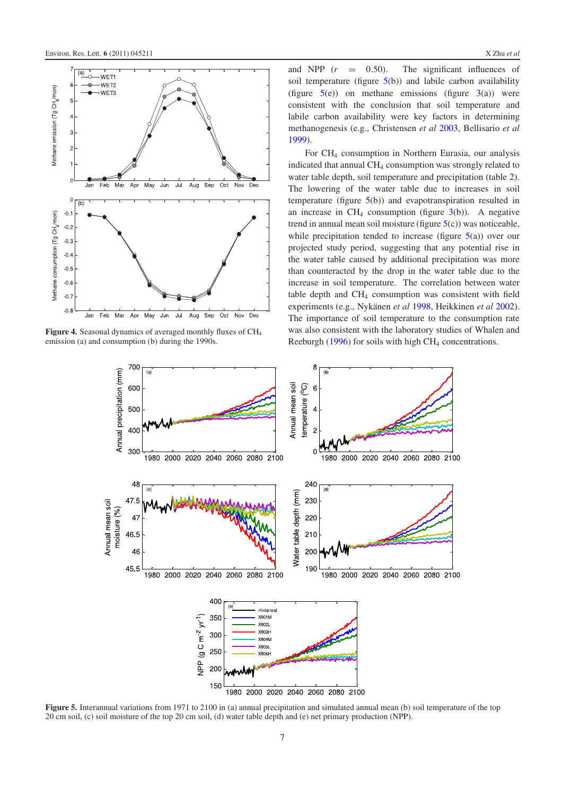<span id="page-7-0"></span>

<span id="page-7-1"></span>**Figure 4.** Seasonal dynamics of averaged monthly fluxes of CH<sub>4</sub> emission (a) and consumption (b) during the 1990s.

and NPP  $(r = 0.50)$ . The significant influences of soil temperature (figure  $5(b)$  $5(b)$ ) and labile carbon availability (figure  $5(e)$  $5(e)$ ) on methane emissions (figure  $3(a)$  $3(a)$ ) were consistent with the conclusion that soil temperature and labile carbon availability were key factors in determining methanogenesis (e.g., Christensen *et al* [2003,](#page-8-12) Bellisario *et al* [1999\)](#page-8-13).

For CH4 consumption in Northern Eurasia, our analysis indicated that annual CH4 consumption was strongly related to water table depth, soil temperature and precipitation (table [2\)](#page-6-2). The lowering of the water table due to increases in soil temperature (figure [5\(](#page-7-1)b)) and evapotranspiration resulted in an increase in  $CH_4$  consumption (figure  $3(b)$  $3(b)$ ). A negative trend in annual mean soil moisture (figure  $5(c)$  $5(c)$ ) was noticeable, while precipitation tended to increase (figure  $5(a)$  $5(a)$ ) over our projected study period, suggesting that any potential rise in the water table caused by additional precipitation was more than counteracted by the drop in the water table due to the increase in soil temperature. The correlation between water table depth and CH4 consumption was consistent with field experiments (e.g., Nykänen et al [1998,](#page-9-19) Heikkinen et al [2002\)](#page-8-14). The importance of soil temperature to the consumption rate was also consistent with the laboratory studies of Whalen and Reeburgh [\(1996\)](#page-9-20) for soils with high CH<sub>4</sub> concentrations.



**Figure 5.** Interannual variations from 1971 to 2100 in (a) annual precipitation and simulated annual mean (b) soil temperature of the top 20 cm soil, (c) soil moisture of the top 20 cm soil, (d) water table depth and (e) net primary production (NPP).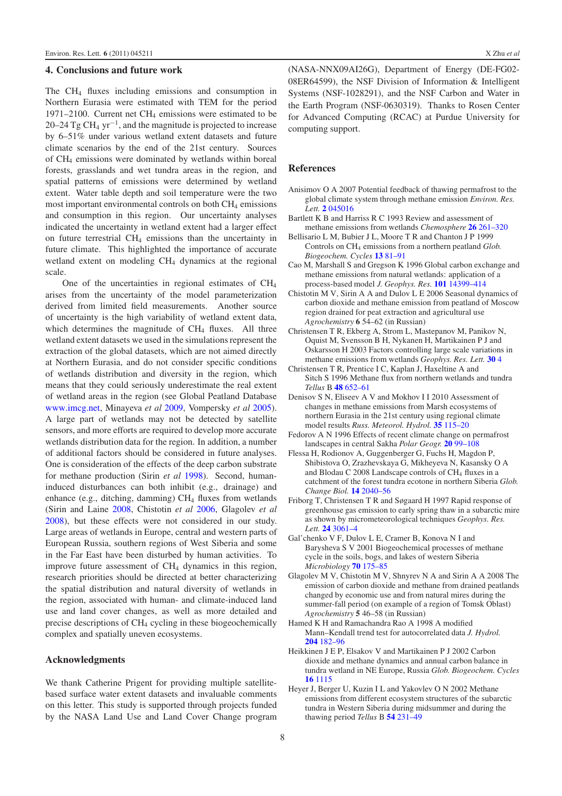# **4. Conclusions and future work**

The CH4 fluxes including emissions and consumption in Northern Eurasia were estimated with TEM for the period 1971–2100. Current net CH4 emissions were estimated to be 20–24 Tg CH<sub>4</sub> yr<sup>-1</sup>, and the magnitude is projected to increase by 6–51% under various wetland extent datasets and future climate scenarios by the end of the 21st century. Sources of CH4 emissions were dominated by wetlands within boreal forests, grasslands and wet tundra areas in the region, and spatial patterns of emissions were determined by wetland extent. Water table depth and soil temperature were the two most important environmental controls on both  $CH<sub>4</sub>$  emissions and consumption in this region. Our uncertainty analyses indicated the uncertainty in wetland extent had a larger effect on future terrestrial CH4 emissions than the uncertainty in future climate. This highlighted the importance of accurate wetland extent on modeling CH4 dynamics at the regional scale.

One of the uncertainties in regional estimates of CH4 arises from the uncertainty of the model parameterization derived from limited field measurements. Another source of uncertainty is the high variability of wetland extent data, which determines the magnitude of  $CH<sub>4</sub>$  fluxes. All three wetland extent datasets we used in the simulations represent the extraction of the global datasets, which are not aimed directly at Northern Eurasia, and do not consider specific conditions of wetlands distribution and diversity in the region, which means that they could seriously underestimate the real extent of wetland areas in the region (see Global Peatland Database [www.imcg.net,](http://www.imcg.net) Minayeva *et al* [2009,](#page-9-21) Vompersky *et al* [2005\)](#page-9-22). A large part of wetlands may not be detected by satellite sensors, and more efforts are required to develop more accurate wetlands distribution data for the region. In addition, a number of additional factors should be considered in future analyses. One is consideration of the effects of the deep carbon substrate for methane production (Sirin *et al* [1998\)](#page-9-23). Second, humaninduced disturbances can both inhibit (e.g., drainage) and enhance (e.g., ditching, damming)  $CH<sub>4</sub>$  fluxes from wetlands (Sirin and Laine [2008,](#page-9-24) Chistotin *et al* [2006,](#page-8-15) Glagolev *et al* [2008\)](#page-8-9), but these effects were not considered in our study. Large areas of wetlands in Europe, central and western parts of European Russia, southern regions of West Siberia and some in the Far East have been disturbed by human activities. To improve future assessment of CH<sub>4</sub> dynamics in this region, research priorities should be directed at better characterizing the spatial distribution and natural diversity of wetlands in the region, associated with human- and climate-induced land use and land cover changes, as well as more detailed and precise descriptions of CH4 cycling in these biogeochemically complex and spatially uneven ecosystems.

#### **Acknowledgments**

We thank Catherine Prigent for providing multiple satellitebased surface water extent datasets and invaluable comments on this letter. This study is supported through projects funded by the NASA Land Use and Land Cover Change program (NASA-NNX09AI26G), Department of Energy (DE-FG02- 08ER64599), the NSF Division of Information & Intelligent Systems (NSF-1028291), and the NSF Carbon and Water in the Earth Program (NSF-0630319). Thanks to Rosen Center for Advanced Computing (RCAC) at Purdue University for computing support.

#### <span id="page-8-13"></span><span id="page-8-6"></span><span id="page-8-0"></span>**References**

- <span id="page-8-3"></span>Anisimov O A 2007 Potential feedback of thawing permafrost to the global climate system through methane emission *Environ. Res. Lett.* **2** [045016](http://dx.doi.org/10.1088/1748-9326/2/4/045016)
- <span id="page-8-15"></span>Bartlett K B and Harriss R C 1993 Review and assessment of methane emissions from wetlands *Chemosphere* **26** [261–320](http://dx.doi.org/10.1016/0045-6535(93)90427-7)
- Bellisario L M, Bubier J L, Moore T R and Chanton J P 1999 Controls on CH4 emissions from a northern peatland *Glob. Biogeochem. Cycles* **13** [81–91](http://dx.doi.org/10.1029/1998GB900021)
- <span id="page-8-12"></span>Cao M, Marshall S and Gregson K 1996 Global carbon exchange and methane emissions from natural wetlands: application of a process-based model *J. Geophys. Res.* **101** [14399–414](http://dx.doi.org/10.1029/96JD00219)
- <span id="page-8-4"></span>Chistotin M V, Sirin A A and Dulov L E 2006 Seasonal dynamics of carbon dioxide and methane emission from peatland of Moscow region drained for peat extraction and agricultural use *Agrochemistry* **6** 54–62 (in Russian)
- <span id="page-8-7"></span>Christensen T R, Ekberg A, Strom L, Mastepanov M, Panikov N, Oquist M, Svensson B H, Nykanen H, Martikainen P J and Oskarsson H 2003 Factors controlling large scale variations in methane emissions from wetlands *Geophys. Res. Lett.* **[30](http://dx.doi.org/10.1029/2002GL016848)** 4
- <span id="page-8-1"></span>Christensen T R, Prentice I C, Kaplan J, Haxeltine A and Sitch S 1996 Methane flux from northern wetlands and tundra *Tellus* B **48** [652–61](http://dx.doi.org/10.1034/j.1600-0889.1996.t01-4-00004.x)
- <span id="page-8-11"></span>Denisov S N, Eliseev A V and Mokhov I I 2010 Assessment of changes in methane emissions from Marsh ecosystems of northern Eurasia in the 21st century using regional climate model results *Russ. Meteorol. Hydrol.* **35** [115–20](http://dx.doi.org/10.3103/S1068373910020056)
- <span id="page-8-2"></span>Fedorov A N 1996 Effects of recent climate change on permafrost landscapes in central Sakha *Polar Geogr.* **20** [99–108](http://dx.doi.org/10.1080/10889379609377590)
- <span id="page-8-10"></span>Flessa H, Rodionov A, Guggenberger G, Fuchs H, Magdon P, Shibistova O, Zrazhevskaya G, Mikheyeva N, Kasansky O A and Blodau C 2008 Landscape controls of  $CH<sub>4</sub>$  fluxes in a catchment of the forest tundra ecotone in northern Siberia *Glob. Change Biol.* **14** [2040–56](http://dx.doi.org/10.1111/j.1365-2486.2008.01633.x)
- <span id="page-8-9"></span>Friborg T, Christensen T R and Søgaard H 1997 Rapid response of greenhouse gas emission to early spring thaw in a subarctic mire as shown by micrometeorological techniques *Geophys. Res. Lett.* **24** [3061–4](http://dx.doi.org/10.1029/97GL03024)
- <span id="page-8-5"></span>Gal'chenko V F, Dulov L E, Cramer B, Konova N I and Barysheva S V 2001 Biogeochemical processes of methane cycle in the soils, bogs, and lakes of western Siberia *Microbiology* **70** [175–85](http://dx.doi.org/10.1023/A:1010477413264)
- <span id="page-8-14"></span>Glagolev M V, Chistotin M V, Shnyrev N A and Sirin A A 2008 The emission of carbon dioxide and methane from drained peatlands changed by economic use and from natural mires during the summer-fall period (on example of a region of Tomsk Oblast) *Agrochemistry* **5** 46–58 (in Russian)
- <span id="page-8-8"></span>Hamed K H and Ramachandra Rao A 1998 A modified Mann–Kendall trend test for autocorrelated data *J. Hydrol.* **204** [182–96](http://dx.doi.org/10.1016/S0022-1694(97)00125-X)
- Heikkinen J E P, Elsakov V and Martikainen P J 2002 Carbon dioxide and methane dynamics and annual carbon balance in tundra wetland in NE Europe, Russia *Glob. Biogeochem. Cycles* **16** [1115](http://dx.doi.org/10.1029/2002GB001930)
- Heyer J, Berger U, Kuzin I L and Yakovlev O N 2002 Methane emissions from different ecosystem structures of the subarctic tundra in Western Siberia during midsummer and during the thawing period *Tellus* B **54** [231–49](http://dx.doi.org/10.1034/j.1600-0889.2002.01280.x)